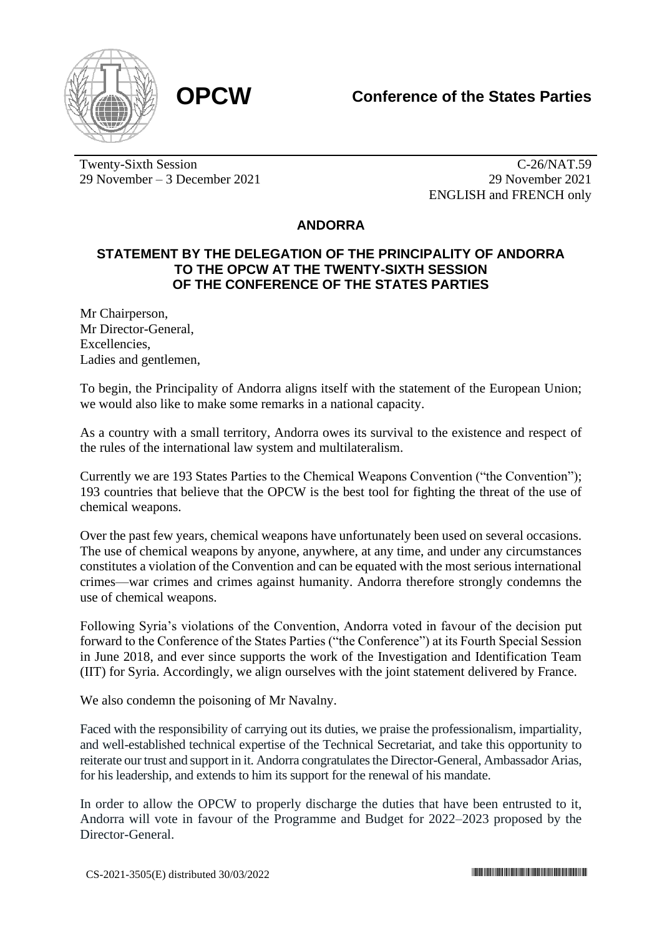



Twenty-Sixth Session 29 November – 3 December 2021

C-26/NAT.59 29 November 2021 ENGLISH and FRENCH only

## **ANDORRA**

## **STATEMENT BY THE DELEGATION OF THE PRINCIPALITY OF ANDORRA TO THE OPCW AT THE TWENTY-SIXTH SESSION OF THE CONFERENCE OF THE STATES PARTIES**

Mr Chairperson, Mr Director-General, Excellencies, Ladies and gentlemen,

To begin, the Principality of Andorra aligns itself with the statement of the European Union; we would also like to make some remarks in a national capacity.

As a country with a small territory, Andorra owes its survival to the existence and respect of the rules of the international law system and multilateralism.

Currently we are 193 States Parties to the Chemical Weapons Convention ("the Convention"); 193 countries that believe that the OPCW is the best tool for fighting the threat of the use of chemical weapons.

Over the past few years, chemical weapons have unfortunately been used on several occasions. The use of chemical weapons by anyone, anywhere, at any time, and under any circumstances constitutes a violation of the Convention and can be equated with the most serious international crimes—war crimes and crimes against humanity. Andorra therefore strongly condemns the use of chemical weapons.

Following Syria's violations of the Convention, Andorra voted in favour of the decision put forward to the Conference of the States Parties ("the Conference") at its Fourth Special Session in June 2018, and ever since supports the work of the Investigation and Identification Team (IIT) for Syria. Accordingly, we align ourselves with the joint statement delivered by France.

We also condemn the poisoning of Mr Navalny.

Faced with the responsibility of carrying out its duties, we praise the professionalism, impartiality, and well-established technical expertise of the Technical Secretariat, and take this opportunity to reiterate our trust and support in it. Andorra congratulates the Director-General, Ambassador Arias, for his leadership, and extends to him its support for the renewal of his mandate.

In order to allow the OPCW to properly discharge the duties that have been entrusted to it, Andorra will vote in favour of the Programme and Budget for 2022–2023 proposed by the Director-General.